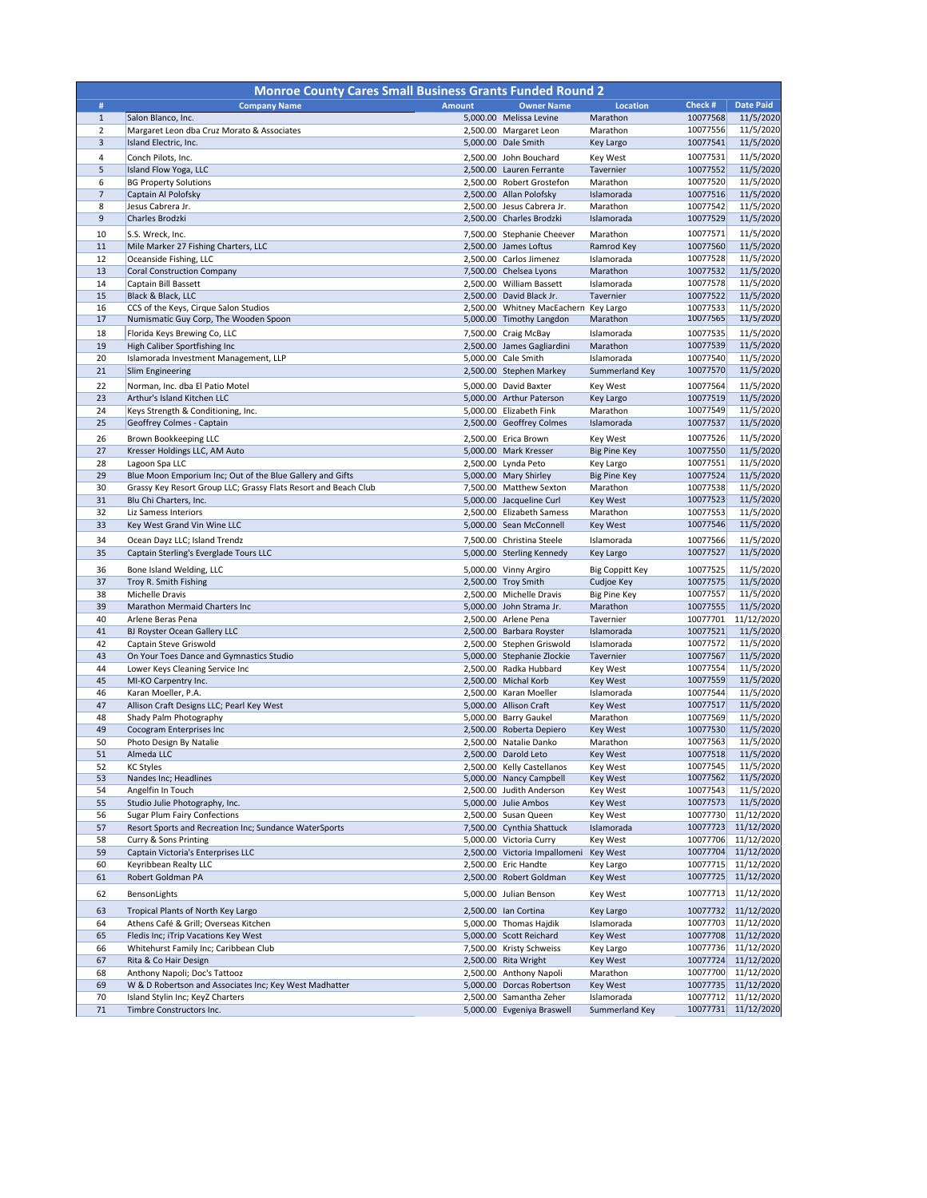| <b>Monroe County Cares Small Business Grants Funded Round 2</b> |                                                                     |               |                                                       |                                   |                      |                                            |
|-----------------------------------------------------------------|---------------------------------------------------------------------|---------------|-------------------------------------------------------|-----------------------------------|----------------------|--------------------------------------------|
| #                                                               | <b>Company Name</b>                                                 | <b>Amount</b> | <b>Owner Name</b>                                     | <b>Location</b>                   | Check #              | <b>Date Paid</b>                           |
| $\mathbf{1}$                                                    | Salon Blanco, Inc.                                                  |               | 5,000.00 Melissa Levine                               | Marathon                          | 10077568             | 11/5/2020                                  |
| $\overline{2}$<br>3                                             | Margaret Leon dba Cruz Morato & Associates<br>Island Electric, Inc. |               | 2,500.00 Margaret Leon<br>5,000.00 Dale Smith         | Marathon<br>Key Largo             | 10077556<br>10077541 | 11/5/2020<br>11/5/2020                     |
| 4                                                               | Conch Pilots, Inc.                                                  |               | 2,500.00 John Bouchard                                | Key West                          | 10077531             | 11/5/2020                                  |
| 5                                                               | Island Flow Yoga, LLC                                               |               | 2,500.00 Lauren Ferrante                              | Tavernier                         | 10077552             | 11/5/2020                                  |
| 6                                                               | <b>BG Property Solutions</b>                                        |               | 2,500.00 Robert Grostefon                             | Marathon                          | 10077520             | 11/5/2020                                  |
| $\overline{7}$                                                  | Captain Al Polofsky                                                 |               | 2,500.00 Allan Polofsky                               | Islamorada                        | 10077516             | 11/5/2020                                  |
| 8                                                               | Jesus Cabrera Jr.                                                   |               | 2,500.00 Jesus Cabrera Jr.                            | Marathon                          | 10077542             | 11/5/2020                                  |
| 9                                                               | Charles Brodzki                                                     |               | 2,500.00 Charles Brodzki                              | Islamorada                        | 10077529             | 11/5/2020                                  |
| 10                                                              | S.S. Wreck, Inc.                                                    |               | 7,500.00 Stephanie Cheever                            | Marathon                          | 10077571             | 11/5/2020                                  |
| 11                                                              | Mile Marker 27 Fishing Charters, LLC                                |               | 2,500.00 James Loftus                                 | Ramrod Key                        | 10077560             | 11/5/2020                                  |
| 12                                                              | Oceanside Fishing, LLC                                              |               | 2,500.00 Carlos Jimenez                               | Islamorada                        | 10077528             | 11/5/2020                                  |
| 13<br>14                                                        | <b>Coral Construction Company</b><br>Captain Bill Bassett           |               | 7,500.00 Chelsea Lyons<br>2,500.00 William Bassett    | Marathon<br>Islamorada            | 10077532<br>10077578 | 11/5/2020<br>11/5/2020                     |
| 15                                                              | Black & Black, LLC                                                  |               | 2,500.00 David Black Jr.                              | Tavernier                         | 10077522             | 11/5/2020                                  |
| 16                                                              | CCS of the Keys, Cirque Salon Studios                               |               | 2,500.00 Whitney MacEachern Key Largo                 |                                   | 10077533             | 11/5/2020                                  |
| 17                                                              | Numismatic Guy Corp, The Wooden Spoon                               |               | 5,000.00 Timothy Langdon                              | Marathon                          | 10077565             | 11/5/2020                                  |
| 18                                                              | Florida Keys Brewing Co, LLC                                        |               | 7,500.00 Craig McBay                                  | Islamorada                        | 10077535             | 11/5/2020                                  |
| 19                                                              | High Caliber Sportfishing Inc                                       |               | 2,500.00 James Gagliardini                            | Marathon                          | 10077539             | 11/5/2020                                  |
| 20                                                              | Islamorada Investment Management, LLP                               |               | 5,000.00 Cale Smith                                   | Islamorada                        | 10077540             | 11/5/2020                                  |
| 21                                                              | <b>Slim Engineering</b>                                             |               | 2,500.00 Stephen Markey                               | Summerland Key                    | 10077570             | 11/5/2020                                  |
| 22                                                              | Norman, Inc. dba El Patio Motel                                     |               | 5,000.00 David Baxter                                 | Key West                          | 10077564             | 11/5/2020                                  |
| 23<br>24                                                        | Arthur's Island Kitchen LLC<br>Keys Strength & Conditioning, Inc.   |               | 5,000.00 Arthur Paterson<br>5,000.00 Elizabeth Fink   | Key Largo<br>Marathon             | 10077519<br>10077549 | 11/5/2020<br>11/5/2020                     |
| 25                                                              | <b>Geoffrey Colmes - Captain</b>                                    |               | 2,500.00 Geoffrey Colmes                              | Islamorada                        | 10077537             | 11/5/2020                                  |
| 26                                                              | <b>Brown Bookkeeping LLC</b>                                        |               | 2,500.00 Erica Brown                                  | Key West                          | 10077526             | 11/5/2020                                  |
| 27                                                              | Kresser Holdings LLC, AM Auto                                       |               | 5,000.00 Mark Kresser                                 | <b>Big Pine Key</b>               | 10077550             | 11/5/2020                                  |
| 28                                                              | Lagoon Spa LLC                                                      |               | 2,500.00 Lynda Peto                                   | Key Largo                         | 10077551             | 11/5/2020                                  |
| 29                                                              | Blue Moon Emporium Inc; Out of the Blue Gallery and Gifts           |               | 5,000.00 Mary Shirley                                 | <b>Big Pine Key</b>               | 10077524             | 11/5/2020                                  |
| 30                                                              | Grassy Key Resort Group LLC; Grassy Flats Resort and Beach Club     |               | 7,500.00 Matthew Sexton                               | Marathon                          | 10077538             | 11/5/2020                                  |
| 31                                                              | Blu Chi Charters, Inc.                                              |               | 5,000.00 Jacqueline Curl                              | Key West                          | 10077523             | 11/5/2020                                  |
| 32                                                              | Liz Samess Interiors                                                |               | 2,500.00 Elizabeth Samess                             | Marathon                          | 10077553             | 11/5/2020                                  |
| 33                                                              | Key West Grand Vin Wine LLC                                         |               | 5,000.00 Sean McConnell                               | Key West                          | 10077546             | 11/5/2020                                  |
| 34                                                              | Ocean Dayz LLC; Island Trendz                                       |               | 7,500.00 Christina Steele                             | Islamorada                        | 10077566             | 11/5/2020                                  |
| 35                                                              | Captain Sterling's Everglade Tours LLC                              |               | 5,000.00 Sterling Kennedy                             | Key Largo                         | 10077527             | 11/5/2020                                  |
| 36                                                              | Bone Island Welding, LLC                                            |               | 5,000.00 Vinny Argiro                                 | <b>Big Coppitt Key</b>            | 10077525             | 11/5/2020                                  |
| 37<br>38                                                        | Troy R. Smith Fishing<br>Michelle Dravis                            |               | 2,500.00 Troy Smith<br>2,500.00 Michelle Dravis       | Cudjoe Key<br><b>Big Pine Key</b> | 10077575<br>10077557 | 11/5/2020<br>11/5/2020                     |
| 39                                                              | <b>Marathon Mermaid Charters Inc</b>                                |               | 5,000.00 John Strama Jr.                              | Marathon                          | 10077555             | 11/5/2020                                  |
| 40                                                              | Arlene Beras Pena                                                   |               | 2,500.00 Arlene Pena                                  | Tavernier                         | 10077701             | 11/12/2020                                 |
| 41                                                              | BJ Royster Ocean Gallery LLC                                        |               | 2,500.00 Barbara Royster                              | Islamorada                        | 10077521             | 11/5/2020                                  |
| 42                                                              | Captain Steve Griswold                                              |               | 2,500.00 Stephen Griswold                             | Islamorada                        | 10077572             | 11/5/2020                                  |
| 43                                                              | On Your Toes Dance and Gymnastics Studio                            |               | 5,000.00 Stephanie Zlockie                            | Tavernier                         | 10077567             | 11/5/2020                                  |
| 44<br>45                                                        | Lower Keys Cleaning Service Inc                                     |               | 2,500.00 Radka Hubbard<br>2,500.00 Michal Korb        | Key West                          | 10077554<br>10077559 | 11/5/2020<br>11/5/2020                     |
| 46                                                              | MI-KO Carpentry Inc.<br>Karan Moeller, P.A.                         |               | 2,500.00 Karan Moeller                                | Key West<br>Islamorada            | 10077544             | 11/5/2020                                  |
| 47                                                              | Allison Craft Designs LLC; Pearl Key West                           |               | 5,000.00 Allison Craft                                | <b>Key West</b>                   | 10077517             | 11/5/2020                                  |
| 48                                                              | Shady Palm Photography                                              |               | 5,000.00 Barry Gaukel                                 | Marathon                          | 10077569             | 11/5/2020                                  |
| 49                                                              | Cocogram Enterprises Inc                                            |               | 2,500.00 Roberta Depiero                              | Key West                          | 10077530             | 11/5/2020                                  |
| 50                                                              | Photo Design By Natalie                                             |               | 2,500.00 Natalie Danko                                | Marathon                          | 10077563             | 11/5/2020                                  |
| 51                                                              | Almeda LLC                                                          |               | 2,500.00 Darold Leto                                  | Key West                          | 10077518             | 11/5/2020                                  |
| 52<br>53                                                        | <b>KC Styles</b><br>Nandes Inc; Headlines                           |               | 2,500.00 Kelly Castellanos<br>5,000.00 Nancy Campbell | Key West<br>Key West              | 10077545<br>10077562 | 11/5/2020<br>11/5/2020                     |
| 54                                                              | Angelfin In Touch                                                   |               | 2,500.00 Judith Anderson                              | Key West                          | 10077543             | 11/5/2020                                  |
| 55                                                              | Studio Julie Photography, Inc.                                      |               | 5,000.00 Julie Ambos                                  | Key West                          | 10077573             | 11/5/2020                                  |
| 56                                                              | <b>Sugar Plum Fairy Confections</b>                                 |               | 2,500.00 Susan Queen                                  | Key West                          | 10077730             | 11/12/2020                                 |
| 57                                                              | Resort Sports and Recreation Inc; Sundance WaterSports              |               | 7,500.00 Cynthia Shattuck                             | Islamorada                        | 10077723             | 11/12/2020                                 |
| 58                                                              | Curry & Sons Printing                                               |               | 5,000.00 Victoria Curry                               | Key West                          |                      | 10077706 11/12/2020                        |
| 59                                                              | Captain Victoria's Enterprises LLC                                  |               | 2,500.00 Victoria Impallomeni Key West                |                                   |                      | 10077704 11/12/2020                        |
| 60<br>61                                                        | Keyribbean Realty LLC<br>Robert Goldman PA                          |               | 2,500.00 Eric Handte<br>2,500.00 Robert Goldman       | Key Largo<br>Key West             | 10077715<br>10077725 | 11/12/2020<br>11/12/2020                   |
| 62                                                              | BensonLights                                                        |               | 5,000.00 Julian Benson                                | Key West                          | 10077713             | 11/12/2020                                 |
| 63                                                              | Tropical Plants of North Key Largo                                  |               | 2,500.00 Ian Cortina                                  | Key Largo                         | 10077732             | 11/12/2020                                 |
| 64                                                              | Athens Café & Grill; Overseas Kitchen                               |               | 5,000.00 Thomas Hajdik                                | Islamorada                        | 10077703             | 11/12/2020                                 |
| 65                                                              | Fledis Inc; iTrip Vacations Key West                                |               | 5,000.00 Scott Reichard                               | Key West                          | 10077708             | 11/12/2020                                 |
| 66                                                              | Whitehurst Family Inc; Caribbean Club                               |               | 7,500.00 Kristy Schweiss                              | Key Largo                         | 10077736             | 11/12/2020                                 |
| 67                                                              | Rita & Co Hair Design                                               |               | 2,500.00 Rita Wright                                  | Key West                          | 10077724             | 11/12/2020                                 |
| 68                                                              | Anthony Napoli; Doc's Tattooz                                       |               | 2,500.00 Anthony Napoli                               | Marathon                          | 10077700             | 11/12/2020                                 |
| 69                                                              | W & D Robertson and Associates Inc; Key West Madhatter              |               | 5,000.00 Dorcas Robertson<br>2,500.00 Samantha Zeher  | Key West                          | 10077735             | 11/12/2020                                 |
| 70<br>71                                                        | Island Stylin Inc; KeyZ Charters<br>Timbre Constructors Inc.        |               | 5,000.00 Evgeniya Braswell                            | Islamorada<br>Summerland Key      |                      | 10077712 11/12/2020<br>10077731 11/12/2020 |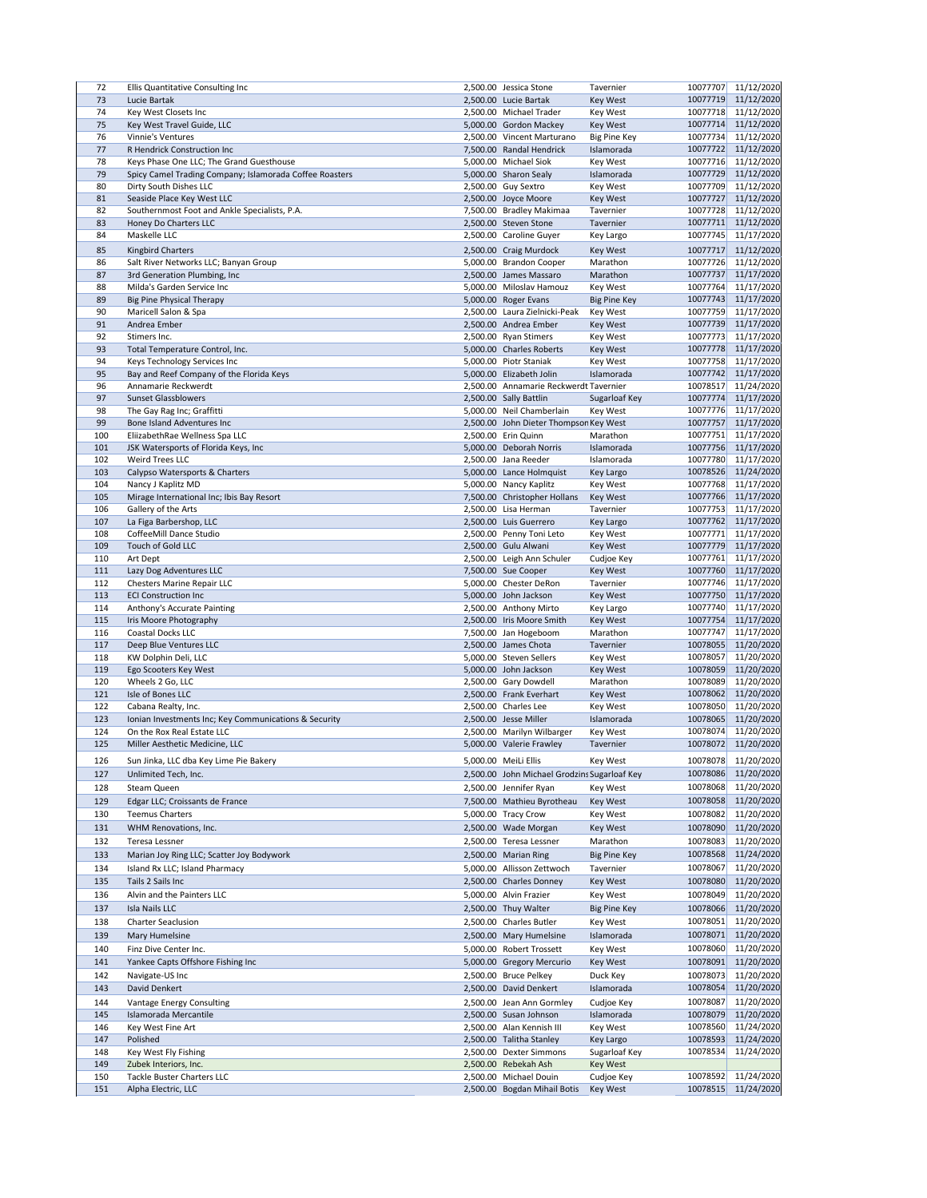| 72  | Ellis Quantitative Consulting Inc                        | 2,500.00 Jessica Stone                                 | Tavernier           | 10077707 | 11/12/2020                                           |
|-----|----------------------------------------------------------|--------------------------------------------------------|---------------------|----------|------------------------------------------------------|
| 73  | Lucie Bartak                                             | 2,500.00 Lucie Bartak                                  | Key West            | 10077719 | 11/12/2020                                           |
|     |                                                          |                                                        |                     |          |                                                      |
| 74  | Key West Closets Inc                                     | 2,500.00 Michael Trader                                | Key West            | 10077718 | 11/12/2020                                           |
| 75  | Key West Travel Guide, LLC                               | 5,000.00 Gordon Mackey                                 | <b>Key West</b>     | 10077714 | 11/12/2020                                           |
| 76  | Vinnie's Ventures                                        | 2,500.00 Vincent Marturano                             | <b>Big Pine Key</b> | 10077734 | 11/12/2020                                           |
| 77  | R Hendrick Construction Inc                              | 7,500.00 Randal Hendrick                               | Islamorada          | 10077722 | 11/12/2020                                           |
| 78  | Keys Phase One LLC; The Grand Guesthouse                 | 5,000.00 Michael Siok                                  | Key West            | 10077716 | 11/12/2020                                           |
| 79  | Spicy Camel Trading Company; Islamorada Coffee Roasters  | 5,000.00 Sharon Sealy                                  | Islamorada          | 10077729 | 11/12/2020                                           |
|     |                                                          |                                                        |                     |          |                                                      |
| 80  | Dirty South Dishes LLC                                   | 2,500.00 Guy Sextro                                    | Key West            | 10077709 | 11/12/2020                                           |
| 81  | Seaside Place Key West LLC                               | 2,500.00 Joyce Moore                                   | Key West            | 10077727 | 11/12/2020                                           |
| 82  | Southernmost Foot and Ankle Specialists, P.A.            | 7,500.00 Bradley Makimaa                               | Tavernier           | 10077728 | 11/12/2020                                           |
| 83  | Honey Do Charters LLC                                    | 2,500.00 Steven Stone                                  | Tavernier           | 10077711 | 11/12/2020                                           |
| 84  | Maskelle LLC                                             | 2,500.00 Caroline Guyer                                | Key Largo           | 10077745 | 11/17/2020                                           |
| 85  | <b>Kingbird Charters</b>                                 | 2,500.00 Craig Murdock                                 | Key West            | 10077717 | 11/12/2020                                           |
|     |                                                          |                                                        |                     |          |                                                      |
| 86  | Salt River Networks LLC; Banyan Group                    | 5,000.00 Brandon Cooper                                | Marathon            | 10077726 | 11/12/2020                                           |
| 87  | 3rd Generation Plumbing, Inc                             | 2,500.00 James Massaro                                 | Marathon            | 10077737 | 11/17/2020                                           |
| 88  | Milda's Garden Service Inc                               | 5,000.00 Miloslav Hamouz                               | Key West            | 10077764 | 11/17/2020                                           |
| 89  | <b>Big Pine Physical Therapy</b>                         | 5,000.00 Roger Evans                                   | <b>Big Pine Key</b> | 10077743 | 11/17/2020                                           |
| 90  | Maricell Salon & Spa                                     | 2,500.00 Laura Zielnicki-Peak                          | Key West            | 10077759 | 11/17/2020                                           |
| 91  | Andrea Ember                                             | 2,500.00 Andrea Ember                                  | Key West            | 10077739 | 11/17/2020                                           |
| 92  | Stimers Inc.                                             | 2,500.00 Ryan Stimers                                  | Key West            | 10077773 | 11/17/2020                                           |
|     |                                                          |                                                        |                     |          |                                                      |
| 93  | Total Temperature Control, Inc.                          | 5,000.00 Charles Roberts                               | <b>Key West</b>     | 10077778 | 11/17/2020                                           |
| 94  | Keys Technology Services Inc                             | 5,000.00 Piotr Staniak                                 | Key West            | 10077758 | 11/17/2020                                           |
| 95  | Bay and Reef Company of the Florida Keys                 | 5,000.00 Elizabeth Jolin                               | Islamorada          | 10077742 | 11/17/2020                                           |
| 96  | Annamarie Reckwerdt                                      | 2,500.00 Annamarie Reckwerdt Tavernier                 |                     | 10078517 | 11/24/2020                                           |
| 97  | <b>Sunset Glassblowers</b>                               | 2,500.00 Sally Battlin                                 | Sugarloaf Key       | 10077774 | 11/17/2020                                           |
| 98  | The Gay Rag Inc; Graffitti                               | 5,000.00 Neil Chamberlain                              | Key West            | 10077776 | 11/17/2020                                           |
| 99  | <b>Bone Island Adventures Inc</b>                        | 2,500.00 John Dieter Thompson Key West                 |                     | 10077757 | 11/17/2020                                           |
| 100 | EliizabethRae Wellness Spa LLC                           | 2,500.00 Erin Quinn                                    | Marathon            | 10077751 | 11/17/2020                                           |
|     |                                                          |                                                        |                     | 10077756 | 11/17/2020                                           |
| 101 | JSK Watersports of Florida Keys, Inc                     | 5,000.00 Deborah Norris                                | Islamorada          |          |                                                      |
| 102 | Weird Trees LLC                                          | 2,500.00 Jana Reeder                                   | Islamorada          |          | 10077780 11/17/2020                                  |
| 103 | Calypso Watersports & Charters                           | 5,000.00 Lance Holmquist                               | Key Largo           |          | 10078526 11/24/2020                                  |
| 104 | Nancy J Kaplitz MD                                       | 5,000.00 Nancy Kaplitz                                 | Key West            | 10077768 | 11/17/2020                                           |
| 105 | Mirage International Inc; Ibis Bay Resort                | 7,500.00 Christopher Hollans                           | <b>Key West</b>     | 10077766 | 11/17/2020                                           |
| 106 | Gallery of the Arts                                      | 2,500.00 Lisa Herman                                   | Tavernier           | 10077753 | 11/17/2020                                           |
| 107 | La Figa Barbershop, LLC                                  | 2,500.00 Luis Guerrero                                 | Key Largo           | 10077762 | 11/17/2020                                           |
| 108 | CoffeeMill Dance Studio                                  | 2,500.00 Penny Toni Leto                               | Key West            | 10077771 | 11/17/2020                                           |
| 109 | Touch of Gold LLC                                        | 2,500.00 Gulu Alwani                                   | <b>Key West</b>     | 10077779 | 11/17/2020                                           |
| 110 | Art Dept                                                 | 2,500.00 Leigh Ann Schuler                             | Cudjoe Key          | 10077761 | 11/17/2020                                           |
| 111 | Lazy Dog Adventures LLC                                  | 7,500.00 Sue Cooper                                    | <b>Key West</b>     | 10077760 | 11/17/2020                                           |
| 112 | Chesters Marine Repair LLC                               | 5,000.00 Chester DeRon                                 | Tavernier           | 10077746 | 11/17/2020                                           |
|     |                                                          |                                                        |                     |          |                                                      |
| 113 | <b>ECI Construction Inc</b>                              | 5,000.00 John Jackson                                  | <b>Key West</b>     | 10077750 | 11/17/2020                                           |
| 114 | Anthony's Accurate Painting                              | 2,500.00 Anthony Mirto                                 | Key Largo           | 10077740 | 11/17/2020                                           |
| 115 | Iris Moore Photography                                   | 2,500.00 Iris Moore Smith                              | <b>Key West</b>     | 10077754 | 11/17/2020                                           |
| 116 | Coastal Docks LLC                                        | 7,500.00 Jan Hogeboom                                  | Marathon            | 10077747 | 11/17/2020                                           |
| 117 | Deep Blue Ventures LLC                                   | 2,500.00 James Chota                                   | Tavernier           | 10078055 | 11/20/2020                                           |
| 118 | KW Dolphin Deli, LLC                                     | 5,000.00 Steven Sellers                                | Key West            | 10078057 | 11/20/2020                                           |
| 119 | Ego Scooters Key West                                    | 5,000.00 John Jackson                                  | <b>Key West</b>     | 10078059 | 11/20/2020                                           |
| 120 | Wheels 2 Go, LLC                                         | 2,500.00 Gary Dowdell                                  | Marathon            | 10078089 | 11/20/2020                                           |
| 121 | Isle of Bones LLC                                        | 2,500.00 Frank Everhart                                | Key West            | 10078062 | 11/20/2020                                           |
| 122 | Cabana Realty, Inc.                                      | 2,500.00 Charles Lee                                   | Key West            | 10078050 | 11/20/2020                                           |
| 123 | Ionian Investments Inc; Key Communications & Security    | 2,500.00 Jesse Miller                                  | Islamorada          | 10078065 | 11/20/2020                                           |
|     |                                                          |                                                        |                     |          |                                                      |
| 124 | On the Rox Real Estate LLC                               | 2,500.00 Marilyn Wilbarger                             | Key West            | 10078074 | 11/20/2020                                           |
| 125 | Miller Aesthetic Medicine, LLC                           | 5,000.00 Valerie Frawley                               | Tavernier           | 10078072 | 11/20/2020                                           |
| 126 | Sun Jinka, LLC dba Key Lime Pie Bakery                   | 5,000.00 MeiLi Ellis                                   | Key West            | 10078078 | 11/20/2020                                           |
| 127 | Unlimited Tech, Inc.                                     | 2,500.00 John Michael Grodzins Sugarloaf Key           |                     | 10078086 | 11/20/2020                                           |
|     |                                                          |                                                        |                     | 10078068 | 11/20/2020                                           |
| 128 | Steam Queen                                              | 2,500.00 Jennifer Ryan                                 | Key West            |          |                                                      |
| 129 | Edgar LLC; Croissants de France                          | 7,500.00 Mathieu Byrotheau                             | Key West            | 10078058 | 11/20/2020                                           |
| 130 | <b>Teemus Charters</b>                                   | 5,000.00 Tracy Crow                                    | Key West            | 10078082 | 11/20/2020                                           |
| 131 | WHM Renovations, Inc.                                    | 2,500.00 Wade Morgan                                   | Key West            | 10078090 | 11/20/2020                                           |
| 132 | Teresa Lessner                                           | 2,500.00 Teresa Lessner                                | Marathon            | 10078083 | 11/20/2020                                           |
| 133 | Marian Joy Ring LLC; Scatter Joy Bodywork                | 2,500.00 Marian Ring                                   | <b>Big Pine Key</b> |          | 10078568 11/24/2020                                  |
|     |                                                          |                                                        |                     |          |                                                      |
| 134 | Island Rx LLC; Island Pharmacy                           | 5,000.00 Allisson Zettwoch                             | Tavernier           | 10078067 | 11/20/2020                                           |
| 135 |                                                          |                                                        |                     |          | 11/20/2020                                           |
| 136 | Tails 2 Sails Inc                                        | 2,500.00 Charles Donney                                | <b>Key West</b>     | 10078080 |                                                      |
|     | Alvin and the Painters LLC                               | 5,000.00 Alvin Frazier                                 | Key West            | 10078049 | 11/20/2020                                           |
| 137 | Isla Nails LLC                                           | 2,500.00 Thuy Walter                                   | <b>Big Pine Key</b> | 10078066 | 11/20/2020                                           |
|     | <b>Charter Seaclusion</b>                                | 2,500.00 Charles Butler                                |                     | 10078051 |                                                      |
| 138 |                                                          |                                                        | Key West            |          | 11/20/2020                                           |
| 139 | Mary Humelsine                                           | 2,500.00 Mary Humelsine                                | Islamorada          | 10078071 | 11/20/2020                                           |
| 140 | Finz Dive Center Inc.                                    | 5,000.00 Robert Trossett                               | Key West            | 10078060 | 11/20/2020                                           |
| 141 | Yankee Capts Offshore Fishing Inc                        | 5,000.00 Gregory Mercurio                              | <b>Key West</b>     | 10078091 | 11/20/2020                                           |
| 142 | Navigate-US Inc                                          | 2,500.00 Bruce Pelkey                                  | Duck Key            | 10078073 |                                                      |
| 143 | David Denkert                                            | 2,500.00 David Denkert                                 | Islamorada          | 10078054 | 11/20/2020                                           |
|     |                                                          |                                                        |                     |          | 11/20/2020                                           |
| 144 | Vantage Energy Consulting                                | 2,500.00 Jean Ann Gormley                              | Cudjoe Key          | 10078087 |                                                      |
| 145 | Islamorada Mercantile                                    | 2,500.00 Susan Johnson                                 | Islamorada          | 10078079 |                                                      |
| 146 | Key West Fine Art                                        | 2,500.00 Alan Kennish III                              | Key West            | 10078560 |                                                      |
| 147 | Polished                                                 | 2,500.00 Talitha Stanley                               | Key Largo           | 10078593 | 11/20/2020<br>11/20/2020<br>11/24/2020<br>11/24/2020 |
| 148 | Key West Fly Fishing                                     | 2,500.00 Dexter Simmons                                | Sugarloaf Key       | 10078534 | 11/24/2020                                           |
| 149 | Zubek Interiors, Inc.                                    | 2,500.00 Rebekah Ash                                   | <b>Key West</b>     |          |                                                      |
| 150 | <b>Tackle Buster Charters LLC</b><br>Alpha Electric, LLC | 2,500.00 Michael Douin<br>2,500.00 Bogdan Mihail Botis | Cudjoe Key          | 10078592 | 11/24/2020<br>10078515 11/24/2020                    |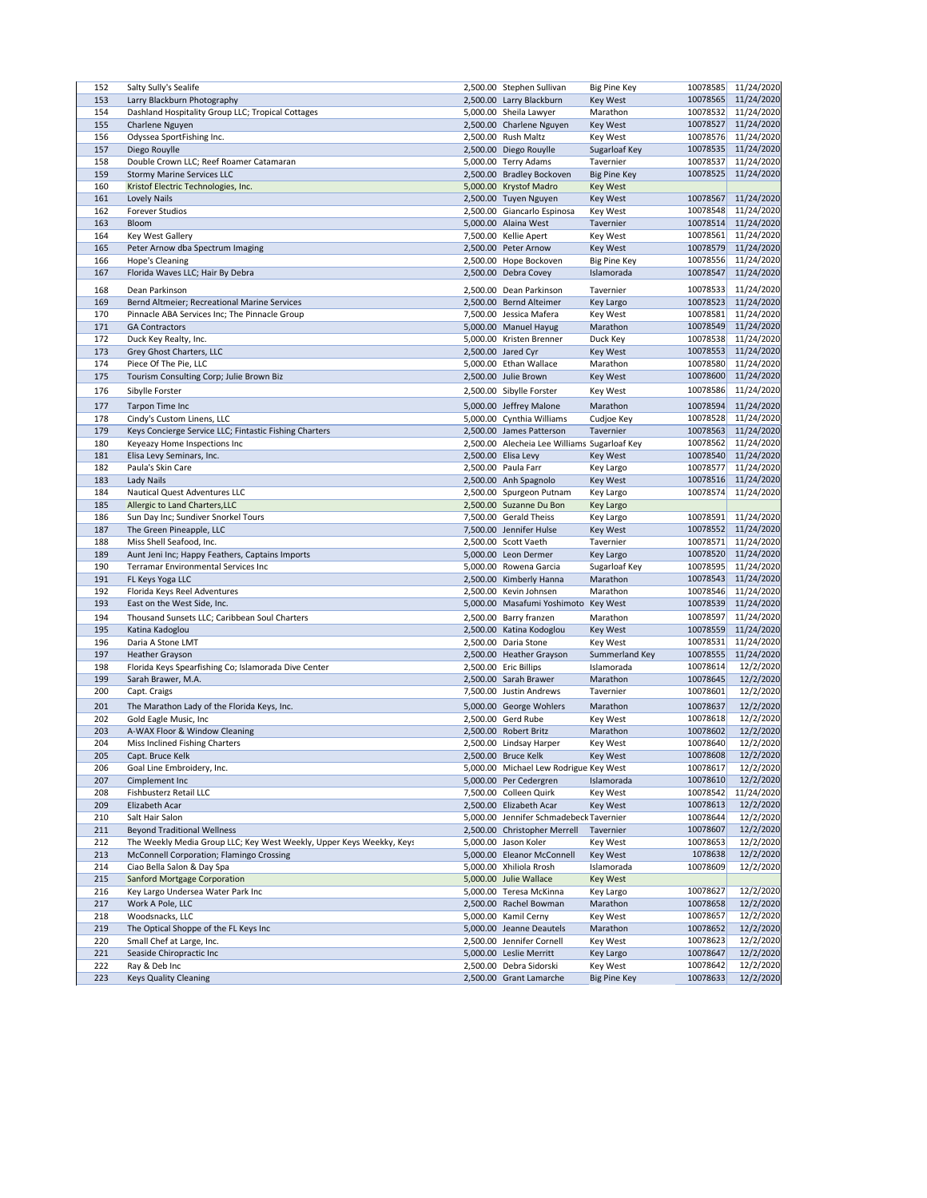| 152 | Salty Sully's Sealife                                                | 2,500.00 Stephen Sullivan                    | <b>Big Pine Key</b> | 10078585 | 11/24/2020          |
|-----|----------------------------------------------------------------------|----------------------------------------------|---------------------|----------|---------------------|
| 153 | Larry Blackburn Photography                                          | 2,500.00 Larry Blackburn                     | Key West            | 10078565 | 11/24/2020          |
| 154 | Dashland Hospitality Group LLC; Tropical Cottages                    | 5,000.00 Sheila Lawyer                       | Marathon            | 10078532 | 11/24/2020          |
|     |                                                                      |                                              |                     | 10078527 | 11/24/2020          |
| 155 | Charlene Nguyen                                                      | 2,500.00 Charlene Nguyen                     | Key West            |          |                     |
| 156 | Odyssea SportFishing Inc.                                            | 2,500.00 Rush Maltz                          | Key West            | 10078576 | 11/24/2020          |
| 157 | Diego Rouylle                                                        | 2,500.00 Diego Rouylle                       | Sugarloaf Key       | 10078535 | 11/24/2020          |
| 158 | Double Crown LLC; Reef Roamer Catamaran                              | 5,000.00 Terry Adams                         | Tavernier           | 10078537 | 11/24/2020          |
| 159 | <b>Stormy Marine Services LLC</b>                                    | 2,500.00 Bradley Bockoven                    | <b>Big Pine Key</b> | 10078525 | 11/24/2020          |
| 160 | Kristof Electric Technologies, Inc.                                  | 5,000.00 Krystof Madro                       | <b>Key West</b>     |          |                     |
| 161 | <b>Lovely Nails</b>                                                  | 2,500.00 Tuyen Nguyen                        | <b>Key West</b>     | 10078567 | 11/24/2020          |
| 162 | <b>Forever Studios</b>                                               | 2,500.00 Giancarlo Espinosa                  | Key West            | 10078548 | 11/24/2020          |
| 163 | Bloom                                                                | 5,000.00 Alaina West                         | Tavernier           | 10078514 | 11/24/2020          |
|     |                                                                      |                                              |                     |          |                     |
| 164 | Key West Gallery                                                     | 7,500.00 Kellie Apert                        | Key West            | 10078561 | 11/24/2020          |
| 165 | Peter Arnow dba Spectrum Imaging                                     | 2,500.00 Peter Arnow                         | Key West            | 10078579 | 11/24/2020          |
| 166 | Hope's Cleaning                                                      | 2,500.00 Hope Bockoven                       | <b>Big Pine Key</b> | 10078556 | 11/24/2020          |
| 167 | Florida Waves LLC; Hair By Debra                                     | 2,500.00 Debra Covey                         | Islamorada          | 10078547 | 11/24/2020          |
| 168 | Dean Parkinson                                                       | 2,500.00 Dean Parkinson                      | Tavernier           | 10078533 | 11/24/2020          |
|     |                                                                      |                                              |                     |          |                     |
| 169 | Bernd Altmeier; Recreational Marine Services                         | 2,500.00 Bernd Alteimer                      | Key Largo           | 10078523 | 11/24/2020          |
| 170 | Pinnacle ABA Services Inc; The Pinnacle Group                        | 7,500.00 Jessica Mafera                      | Key West            | 10078581 | 11/24/2020          |
| 171 | <b>GA Contractors</b>                                                | 5,000.00 Manuel Hayug                        | Marathon            | 10078549 | 11/24/2020          |
| 172 | Duck Key Realty, Inc.                                                | 5,000.00 Kristen Brenner                     | Duck Key            | 10078538 | 11/24/2020          |
| 173 | Grey Ghost Charters, LLC                                             | 2,500.00 Jared Cyr                           | Key West            | 10078553 | 11/24/2020          |
| 174 | Piece Of The Pie, LLC                                                | 5,000.00 Ethan Wallace                       | Marathon            | 10078580 | 11/24/2020          |
| 175 | Tourism Consulting Corp; Julie Brown Biz                             | 2,500.00 Julie Brown                         | Key West            | 10078600 | 11/24/2020          |
|     |                                                                      |                                              |                     |          |                     |
| 176 | Sibylle Forster                                                      | 2,500.00 Sibylle Forster                     | Key West            | 10078586 | 11/24/2020          |
| 177 | <b>Tarpon Time Inc</b>                                               | 5,000.00 Jeffrey Malone                      | Marathon            | 10078594 | 11/24/2020          |
| 178 | Cindy's Custom Linens, LLC                                           | 5,000.00 Cynthia Williams                    | Cudjoe Key          | 10078528 | 11/24/2020          |
| 179 | Keys Concierge Service LLC; Fintastic Fishing Charters               | 2,500.00 James Patterson                     | Tavernier           | 10078563 | 11/24/2020          |
| 180 | Keyeazy Home Inspections Inc                                         | 2,500.00 Alecheia Lee Williams Sugarloaf Key |                     | 10078562 | 11/24/2020          |
|     | Elisa Levy Seminars, Inc.                                            | 2,500.00 Elisa Levy                          |                     | 10078540 | 11/24/2020          |
| 181 |                                                                      |                                              | Key West            |          |                     |
| 182 | Paula's Skin Care                                                    | 2,500.00 Paula Farr                          | Key Largo           |          | 10078577 11/24/2020 |
| 183 | Lady Nails                                                           | 2,500.00 Anh Spagnolo                        | Key West            | 10078516 | 11/24/2020          |
| 184 | <b>Nautical Quest Adventures LLC</b>                                 | 2,500.00 Spurgeon Putnam                     | Key Largo           | 10078574 | 11/24/2020          |
| 185 | Allergic to Land Charters, LLC                                       | 2,500.00 Suzanne Du Bon                      | Key Largo           |          |                     |
| 186 | Sun Day Inc; Sundiver Snorkel Tours                                  | 7,500.00 Gerald Theiss                       | Key Largo           | 10078591 | 11/24/2020          |
| 187 | The Green Pineapple, LLC                                             | 7,500.00 Jennifer Hulse                      | Key West            | 10078552 | 11/24/2020          |
| 188 | Miss Shell Seafood, Inc.                                             | 2,500.00 Scott Vaeth                         | Tavernier           | 10078571 | 11/24/2020          |
| 189 | Aunt Jeni Inc; Happy Feathers, Captains Imports                      | 5,000.00 Leon Dermer                         | Key Largo           | 10078520 | 11/24/2020          |
| 190 | <b>Terramar Environmental Services Inc</b>                           |                                              |                     | 10078595 | 11/24/2020          |
|     |                                                                      | 5,000.00 Rowena Garcia                       | Sugarloaf Key       |          |                     |
| 191 | FL Keys Yoga LLC                                                     | 2,500.00 Kimberly Hanna                      | Marathon            | 10078543 | 11/24/2020          |
| 192 | Florida Keys Reel Adventures                                         | 2,500.00 Kevin Johnsen                       | Marathon            | 10078546 | 11/24/2020          |
| 193 | East on the West Side, Inc.                                          | 5,000.00 Masafumi Yoshimoto Key West         |                     | 10078539 | 11/24/2020          |
| 194 | Thousand Sunsets LLC; Caribbean Soul Charters                        | 2,500.00 Barry franzen                       | Marathon            | 10078597 | 11/24/2020          |
| 195 | Katina Kadoglou                                                      | 2,500.00 Katina Kodoglou                     | Key West            | 10078559 | 11/24/2020          |
| 196 | Daria A Stone LMT                                                    | 2,500.00 Daria Stone                         | Key West            | 10078531 | 11/24/2020          |
| 197 | <b>Heather Grayson</b>                                               | 2,500.00 Heather Grayson                     | Summerland Key      | 10078555 | 11/24/2020          |
|     |                                                                      |                                              | Islamorada          | 10078614 | 12/2/2020           |
| 198 | Florida Keys Spearfishing Co; Islamorada Dive Center                 | 2,500.00 Eric Billips                        |                     |          |                     |
| 199 | Sarah Brawer, M.A.                                                   | 2,500.00 Sarah Brawer                        | Marathon            | 10078645 | 12/2/2020           |
| 200 | Capt. Craigs                                                         | 7,500.00 Justin Andrews                      | Tavernier           | 10078601 | 12/2/2020           |
| 201 | The Marathon Lady of the Florida Keys, Inc.                          | 5,000.00 George Wohlers                      | Marathon            | 10078637 | 12/2/2020           |
| 202 | Gold Eagle Music, Inc                                                | 2,500.00 Gerd Rube                           | <b>Key West</b>     | 10078618 | 12/2/2020           |
| 203 | A-WAX Floor & Window Cleaning                                        | 2,500.00 Robert Britz                        | Marathon            | 10078602 | 12/2/2020           |
| 204 | Miss Inclined Fishing Charters                                       | 2,500.00 Lindsay Harper                      | Key West            | 10078640 | 12/2/2020           |
| 205 | Capt. Bruce Kelk                                                     | 2,500.00 Bruce Kelk                          | Key West            | 10078608 | 12/2/2020           |
|     |                                                                      |                                              |                     |          |                     |
| 206 | Goal Line Embroidery, Inc.                                           | 5,000.00 Michael Lew Rodrigue Key West       |                     | 10078617 | 12/2/2020           |
| 207 | Cimplement Inc                                                       | 5,000.00 Per Cedergren                       | Islamorada          | 10078610 | 12/2/2020           |
| 208 | Fishbusterz Retail LLC                                               | 7,500.00 Colleen Quirk                       | Key West            | 10078542 | 11/24/2020          |
| 209 | Elizabeth Acar                                                       | 2,500.00 Elizabeth Acar                      | Key West            | 10078613 | 12/2/2020           |
| 210 | Salt Hair Salon                                                      | 5,000.00 Jennifer Schmadebeck Tavernier      |                     | 10078644 | 12/2/2020           |
| 211 | <b>Beyond Traditional Wellness</b>                                   | 2,500.00 Christopher Merrell                 | Tavernier           | 10078607 | 12/2/2020           |
| 212 | The Weekly Media Group LLC; Key West Weekly, Upper Keys Weekky, Keys | 5,000.00 Jason Koler                         | Key West            | 10078653 | 12/2/2020           |
| 213 | McConnell Corporation; Flamingo Crossing                             | 5,000.00 Eleanor McConnell                   | <b>Key West</b>     | 1078638  | 12/2/2020           |
| 214 | Ciao Bella Salon & Day Spa                                           | 5,000.00 Xhiliola Rrosh                      | Islamorada          | 10078609 | 12/2/2020           |
|     |                                                                      |                                              |                     |          |                     |
| 215 | <b>Sanford Mortgage Corporation</b>                                  | 5,000.00 Julie Wallace                       | <b>Key West</b>     |          |                     |
| 216 | Key Largo Undersea Water Park Inc                                    | 5,000.00 Teresa McKinna                      | Key Largo           | 10078627 | 12/2/2020           |
| 217 | Work A Pole, LLC                                                     | 2,500.00 Rachel Bowman                       | Marathon            | 10078658 | 12/2/2020           |
| 218 | Woodsnacks, LLC                                                      | 5,000.00 Kamil Cerny                         | Key West            | 10078657 | 12/2/2020           |
| 219 | The Optical Shoppe of the FL Keys Inc                                | 5,000.00 Jeanne Deautels                     | Marathon            | 10078652 | 12/2/2020           |
| 220 | Small Chef at Large, Inc.                                            | 2,500.00 Jennifer Cornell                    | Key West            | 10078623 | 12/2/2020           |
| 221 | Seaside Chiropractic Inc                                             | 5,000.00 Leslie Merritt                      | Key Largo           | 10078647 | 12/2/2020           |
| 222 | Ray & Deb Inc                                                        | 2,500.00 Debra Sidorski                      | Key West            | 10078642 | 12/2/2020           |
| 223 | <b>Keys Quality Cleaning</b>                                         | 2,500.00 Grant Lamarche                      | <b>Big Pine Key</b> | 10078633 | 12/2/2020           |
|     |                                                                      |                                              |                     |          |                     |